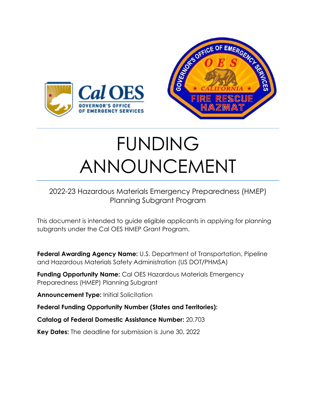

# FUNDING ANNOUNCEMENT

## 2022-23 Hazardous Materials Emergency Preparedness (HMEP) Planning Subgrant Program

This document is intended to guide eligible applicants in applying for planning subgrants under the Cal OES HMEP Grant Program.

**Federal Awarding Agency Name:** U.S. Department of Transportation, Pipeline and Hazardous Materials Safety Administration (US DOT/PHMSA)

**Funding Opportunity Name:** Cal OES Hazardous Materials Emergency Preparedness (HMEP) Planning Subgrant

**Announcement Type:** Initial Solicitation

**Federal Funding Opportunity Number (States and Territories):**

**Catalog of Federal Domestic Assistance Number:** 20.703

**Key Dates:** The deadline for submission is June 30, 2022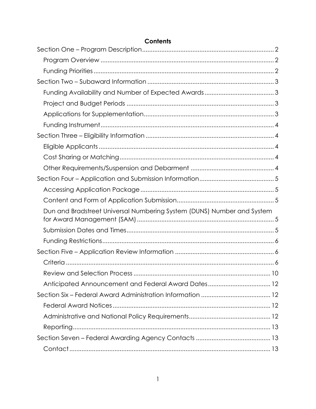| Dun and Bradstreet Universal Numbering System (DUNS) Number and System |  |
|------------------------------------------------------------------------|--|
|                                                                        |  |
|                                                                        |  |
|                                                                        |  |
|                                                                        |  |
|                                                                        |  |
|                                                                        |  |
|                                                                        |  |
|                                                                        |  |
|                                                                        |  |
|                                                                        |  |
|                                                                        |  |
|                                                                        |  |

#### **Contents**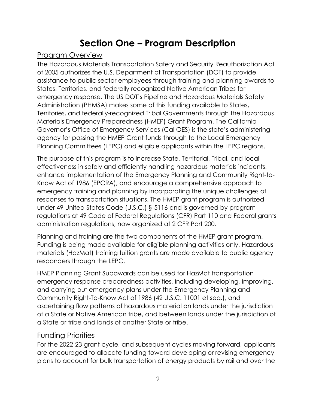## **Section One – Program Description**

#### <span id="page-2-1"></span><span id="page-2-0"></span>Program Overview

The Hazardous Materials Transportation Safety and Security Reauthorization Act of 2005 authorizes the U.S. Department of Transportation (DOT) to provide assistance to public sector employees through training and planning awards to States, Territories, and federally recognized Native American Tribes for emergency response. The US DOT's Pipeline and Hazardous Materials Safety Administration (PHMSA) makes some of this funding available to States, Territories, and federally-recognized Tribal Governments through the Hazardous Materials Emergency Preparedness (HMEP) Grant Program. The California Governor's Office of Emergency Services (Cal OES) is the state's administering agency for passing the HMEP Grant funds through to the Local Emergency Planning Committees (LEPC) and eligible applicants within the LEPC regions.

The purpose of this program is to increase State, Territorial, Tribal, and local effectiveness in safely and efficiently handling hazardous materials incidents, enhance implementation of the Emergency Planning and Community Right-to-Know Act of 1986 (EPCRA), and encourage a comprehensive approach to emergency training and planning by incorporating the unique challenges of responses to transportation situations. The HMEP grant program is authorized under 49 United States Code (U.S.C.) § 5116 and is governed by program regulations at 49 Code of Federal Regulations (CFR) Part 110 and Federal grants administration regulations, now organized at 2 CFR Part 200.

Planning and training are the two components of the HMEP grant program. Funding is being made available for eligible planning activities only. Hazardous materials (HazMat) training tuition grants are made available to public agency responders through the LEPC.

HMEP Planning Grant Subawards can be used for HazMat transportation emergency response preparedness activities, including developing, improving, and carrying out emergency plans under the Emergency Planning and Community Right-To-Know Act of 1986 (42 U.S.C. 11001 et seq.), and ascertaining flow patterns of hazardous material on lands under the jurisdiction of a State or Native American tribe, and between lands under the jurisdiction of a State or tribe and lands of another State or tribe.

#### <span id="page-2-2"></span>Funding Priorities

For the 2022-23 grant cycle, and subsequent cycles moving forward, applicants are encouraged to allocate funding toward developing or revising emergency plans to account for bulk transportation of energy products by rail and over the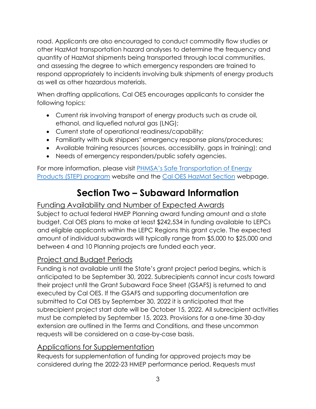road. Applicants are also encouraged to conduct commodity flow studies or other HazMat transportation hazard analyses to determine the frequency and quantity of HazMat shipments being transported through local communities, and assessing the degree to which emergency responders are trained to respond appropriately to incidents involving bulk shipments of energy products as well as other hazardous materials.

When drafting applications, Cal OES encourages applicants to consider the following topics:

- Current risk involving transport of energy products such as crude oil, ethanol, and liquefied natural gas (LNG);
- Current state of operational readiness/capability;
- Familiarity with bulk shippers' emergency response plans/procedures;
- Available training resources (sources, accessibility, gaps in training); and
- Needs of emergency responders/public safety agencies.

For more information, please visit [PHMSA's Safe Transportation of Energy](http://www.phmsa.dot.gov/hazmat/osd/calltoaction)  [Products \(STEP\) program](http://www.phmsa.dot.gov/hazmat/osd/calltoaction) website and the [Cal OES HazMat Section](http://www.caloes.ca.gov/FireRescueSite/Pages/Hazardous-Materials.aspx) webpage.

# **Section Two – Subaward Information**

#### <span id="page-3-1"></span><span id="page-3-0"></span>Funding Availability and Number of Expected Awards

Subject to actual federal HMEP Planning award funding amount and a state budget, Cal OES plans to make at least \$242,534 in funding available to LEPCs and eligible applicants within the LEPC Regions this grant cycle. The expected amount of individual subawards will typically range from \$5,000 to \$25,000 and between 4 and 10 Planning projects are funded each year.

#### <span id="page-3-2"></span>Project and Budget Periods

Funding is not available until the State's grant project period begins, which is anticipated to be September 30, 2022. Subrecipients cannot incur costs toward their project until the Grant Subaward Face Sheet (GSAFS) is returned to and executed by Cal OES. If the GSAFS and supporting documentation are submitted to Cal OES by September 30, 2022 it is anticipated that the subrecipient project start date will be October 15, 2022. All subrecipient activities must be completed by September 15, 2023. Provisions for a one-time 30-day extension are outlined in the Terms and Conditions, and these uncommon requests will be considered on a case-by-case basis.

#### <span id="page-3-3"></span>Applications for Supplementation

Requests for supplementation of funding for approved projects may be considered during the 2022-23 HMEP performance period. Requests must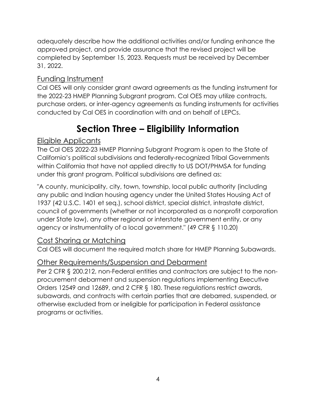adequately describe how the additional activities and/or funding enhance the approved project, and provide assurance that the revised project will be completed by September 15, 2023. Requests must be received by December 31, 2022.

#### <span id="page-4-0"></span>Funding Instrument

Cal OES will only consider grant award agreements as the funding instrument for the 2022-23 HMEP Planning Subgrant program. Cal OES may utilize contracts, purchase orders, or inter-agency agreements as funding instruments for activities conducted by Cal OES in coordination with and on behalf of LEPCs.

# **Section Three – Eligibility Information**

#### <span id="page-4-2"></span><span id="page-4-1"></span>Eligible Applicants

The Cal OES 2022-23 HMEP Planning Subgrant Program is open to the State of California's political subdivisions and federally-recognized Tribal Governments within California that have not applied directly to US DOT/PHMSA for funding under this grant program. Political subdivisions are defined as:

"A county, municipality, city, town, township, local public authority (including any public and Indian housing agency under the United States Housing Act of 1937 (42 U.S.C. 1401 et seq.), school district, special district, intrastate district, council of governments (whether or not incorporated as a nonprofit corporation under State law), any other regional or interstate government entity, or any agency or instrumentality of a local government." (49 CFR § 110.20)

#### <span id="page-4-3"></span>Cost Sharing or Matching

Cal OES will document the required match share for HMEP Planning Subawards.

#### <span id="page-4-4"></span>Other Requirements/Suspension and Debarment

Per 2 CFR § 200.212, non-Federal entities and contractors are subject to the nonprocurement debarment and suspension regulations implementing Executive Orders 12549 and 12689, and 2 CFR § 180. These regulations restrict awards, subawards, and contracts with certain parties that are debarred, suspended, or otherwise excluded from or ineligible for participation in Federal assistance programs or activities.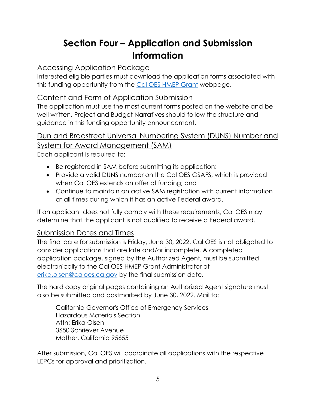# **Section Four – Application and Submission Information**

## <span id="page-5-1"></span><span id="page-5-0"></span>Accessing Application Package

Interested eligible parties must download the application forms associated with this funding opportunity from the [Cal OES HMEP Grant](http://www.caloes.ca.gov/FireRescueSite/Pages/HazMat-Emergency-Preparedness-Grant.aspx) webpage.

#### <span id="page-5-2"></span>Content and Form of Application Submission

The application must use the most current forms posted on the website and be well written. Project and Budget Narratives should follow the structure and guidance in this funding opportunity announcement.

## <span id="page-5-3"></span>Dun and Bradstreet Universal Numbering System (DUNS) Number and System for Award Management (SAM)

Each applicant is required to:

- Be registered in SAM before submitting its application;
- Provide a valid DUNS number on the Cal OES GSAFS, which is provided when Cal OES extends an offer of funding; and
- Continue to maintain an active SAM registration with current information at all times during which it has an active Federal award.

If an applicant does not fully comply with these requirements, Cal OES may determine that the applicant is not qualified to receive a Federal award.

#### <span id="page-5-4"></span>Submission Dates and Times

The final date for submission is Friday, June 30, 2022. Cal OES is not obligated to consider applications that are late and/or incomplete. A completed application package, signed by the Authorized Agent, must be submitted electronically to the Cal OES HMEP Grant Administrator at [erika.olsen@caloes.ca.gov](mailto:erika.olsen@caloes.ca.gov) by the final submission date.

The hard copy original pages containing an Authorized Agent signature must also be submitted and postmarked by June 30, 2022. Mail to:

California Governor's Office of Emergency Services Hazardous Materials Section Attn: Erika Olsen 3650 Schriever Avenue Mather, California 95655

After submission, Cal OES will coordinate all applications with the respective LEPCs for approval and prioritization.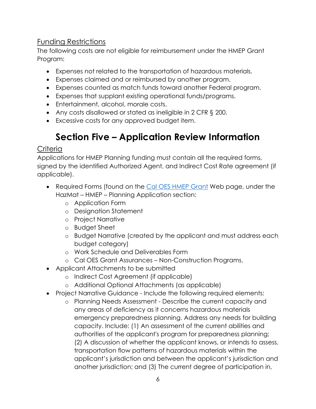#### <span id="page-6-0"></span>Funding Restrictions

The following costs are not eligible for reimbursement under the HMEP Grant Program:

- Expenses not related to the transportation of hazardous materials.
- Expenses claimed and or reimbursed by another program.
- Expenses counted as match funds toward another Federal program.
- Expenses that supplant existing operational funds/programs.
- Entertainment, alcohol, morale costs.
- Any costs disallowed or stated as ineligible in 2 CFR § 200.
- <span id="page-6-1"></span>• Excessive costs for any approved budget item.

# **Section Five – Application Review Information**

#### <span id="page-6-2"></span>**Criteria**

Applications for HMEP Planning funding must contain all the required forms, signed by the identified Authorized Agent, and Indirect Cost Rate agreement (if applicable).

- Required Forms (found on the [Cal OES HMEP Grant](http://www.caloes.ca.gov/FireRescueSite/Pages/HazMat-Emergency-Preparedness-Grant.aspx) Web page, under the HazMat – HMEP – Planning Application section:
	- o Application Form
	- o Designation Statement
	- o Project Narrative
	- o Budget Sheet
	- o Budget Narrative (created by the applicant and must address each budget category)
	- o Work Schedule and Deliverables Form
	- o Cal OES Grant Assurances Non-Construction Programs.
- Applicant Attachments to be submitted
	- o Indirect Cost Agreement (if applicable)
	- o Additional Optional Attachments (as applicable)
- Project Narrative Guidance Include the following required elements:
	- o Planning Needs Assessment Describe the current capacity and any areas of deficiency as it concerns hazardous materials emergency preparedness planning. Address any needs for building capacity. Include: (1) An assessment of the current abilities and authorities of the applicant's program for preparedness planning; (2) A discussion of whether the applicant knows, or intends to assess, transportation flow patterns of hazardous materials within the applicant's jurisdiction and between the applicant's jurisdiction and another jurisdiction; and (3) The current degree of participation in,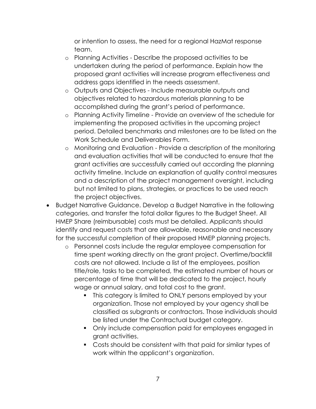or intention to assess, the need for a regional HazMat response team.

- o Planning Activities Describe the proposed activities to be undertaken during the period of performance. Explain how the proposed grant activities will increase program effectiveness and address gaps identified in the needs assessment.
- o Outputs and Objectives Include measurable outputs and objectives related to hazardous materials planning to be accomplished during the grant's period of performance.
- o Planning Activity Timeline Provide an overview of the schedule for implementing the proposed activities in the upcoming project period. Detailed benchmarks and milestones are to be listed on the Work Schedule and Deliverables Form.
- o Monitoring and Evaluation Provide a description of the monitoring and evaluation activities that will be conducted to ensure that the grant activities are successfully carried out according the planning activity timeline. Include an explanation of quality control measures and a description of the project management oversight, including but not limited to plans, strategies, or practices to be used reach the project objectives.
- Budget Narrative Guidance. Develop a Budget Narrative in the following categories, and transfer the total dollar figures to the Budget Sheet. All HMEP Share (reimbursable) costs must be detailed. Applicants should identify and request costs that are allowable, reasonable and necessary for the successful completion of their proposed HMEP planning projects.
	- o Personnel costs include the regular employee compensation for time spent working directly on the grant project. Overtime/backfill costs are not allowed. Include a list of the employees, position title/role, tasks to be completed, the estimated number of hours or percentage of time that will be dedicated to the project, hourly wage or annual salary, and total cost to the grant.
		- This category is limited to ONLY persons employed by your organization. Those not employed by your agency shall be classified as subgrants or contractors. Those individuals should be listed under the Contractual budget category.
		- Only include compensation paid for employees engaged in grant activities.
		- Costs should be consistent with that paid for similar types of work within the applicant's organization.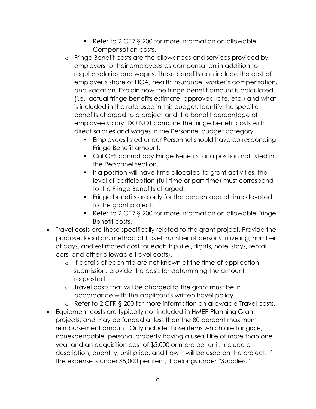- Refer to 2 CFR § 200 for more information on allowable Compensation costs.
- o Fringe Benefit costs are the allowances and services provided by employers to their employees as compensation in addition to regular salaries and wages. These benefits can include the cost of employer's share of FICA, health insurance, worker's compensation, and vacation. Explain how the fringe benefit amount is calculated (i.e., actual fringe benefits estimate, approved rate, etc.) and what is included in the rate used in this budget. Identify the specific benefits charged to a project and the benefit percentage of employee salary. DO NOT combine the fringe benefit costs with direct salaries and wages in the Personnel budget category.
	- **Employees listed under Personnel should have corresponding** Fringe Benefit amount.
	- Cal OES cannot pay Fringe Benefits for a position not listed in the Personnel section.
	- If a position will have time allocated to grant activities, the level of participation (full-time or part-time) must correspond to the Fringe Benefits charged.
	- **Finge benefits are only for the percentage of time devoted** to the grant project.
	- Refer to 2 CFR § 200 for more information on allowable Fringe Benefit costs.
- Travel costs are those specifically related to the grant project. Provide the purpose, location, method of travel, number of persons traveling, number of days, and estimated cost for each trip (i.e., flights, hotel stays, rental cars, and other allowable travel costs).
	- o If details of each trip are not known at the time of application submission, provide the basis for determining the amount requested.
	- o Travel costs that will be charged to the grant must be in accordance with the applicant's written travel policy
	- o Refer to 2 CFR § 200 for more information on allowable Travel costs.
- Equipment costs are typically not included in HMEP Planning Grant projects, and may be funded at less than the 80 percent maximum reimbursement amount. Only include those items which are tangible, nonexpendable, personal property having a useful life of more than one year and an acquisition cost of \$5,000 or more per unit. Include a description, quantity, unit price, and how it will be used on the project. If the expense is under \$5,000 per item, it belongs under "Supplies."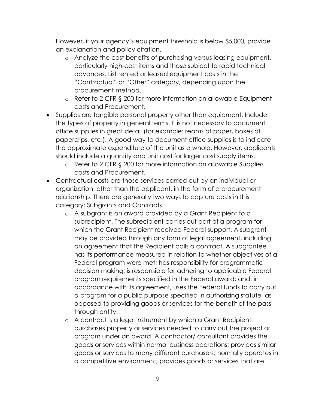However, if your agency's equipment threshold is below \$5,000, provide an explanation and policy citation.

- o Analyze the cost benefits of purchasing versus leasing equipment, particularly high-cost items and those subject to rapid technical advances. List rented or leased equipment costs in the "Contractual" or "Other" category, depending upon the procurement method.
- o Refer to 2 CFR § 200 for more information on allowable Equipment costs and Procurement.
- Supplies are tangible personal property other than equipment. Include the types of property in general terms. It is not necessary to document office supplies in great detail (for example: reams of paper, boxes of paperclips, etc.). A good way to document office supplies is to indicate the approximate expenditure of the unit as a whole. However, applicants should include a quantity and unit cost for larger cost supply items.
	- o Refer to 2 CFR § 200 for more information on allowable Supplies costs and Procurement.
- Contractual costs are those services carried out by an individual or organization, other than the applicant, in the form of a procurement relationship. There are generally two ways to capture costs in this category: Subgrants and Contracts.
	- o A subgrant is an award provided by a Grant Recipient to a subrecipient. The subrecipient carries out part of a program for which the Grant Recipient received Federal support. A subgrant may be provided through any form of legal agreement, including an agreement that the Recipient calls a contract. A subgrantee has its performance measured in relation to whether objectives of a Federal program were met; has responsibility for programmatic decision making; is responsible for adhering to applicable Federal program requirements specified in the Federal award; and, in accordance with its agreement, uses the Federal funds to carry out a program for a public purpose specified in authorizing statute, as opposed to providing goods or services for the benefit of the passthrough entity.
	- o A contract is a legal instrument by which a Grant Recipient purchases property or services needed to carry out the project or program under an award. A contractor/ consultant provides the goods or services within normal business operations; provides similar goods or services to many different purchasers; normally operates in a competitive environment; provides goods or services that are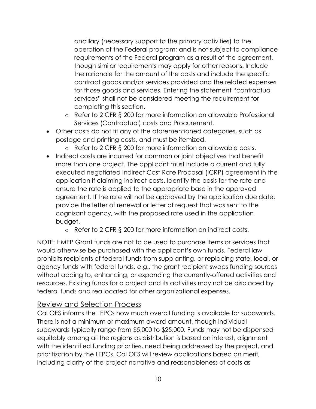ancillary (necessary support to the primary activities) to the operation of the Federal program; and is not subject to compliance requirements of the Federal program as a result of the agreement, though similar requirements may apply for other reasons. Include the rationale for the amount of the costs and include the specific contract goods and/or services provided and the related expenses for those goods and services. Entering the statement "contractual services" shall not be considered meeting the requirement for completing this section.

- o Refer to 2 CFR § 200 for more information on allowable Professional Services (Contractual) costs and Procurement.
- Other costs do not fit any of the aforementioned categories, such as postage and printing costs, and must be itemized.
	- o Refer to 2 CFR § 200 for more information on allowable costs.
- Indirect costs are incurred for common or joint objectives that benefit more than one project. The applicant must include a current and fully executed negotiated Indirect Cost Rate Proposal (ICRP) agreement in the application if claiming indirect costs. Identify the basis for the rate and ensure the rate is applied to the appropriate base in the approved agreement. If the rate will not be approved by the application due date, provide the letter of renewal or letter of request that was sent to the cognizant agency, with the proposed rate used in the application budget.
	- o Refer to 2 CFR § 200 for more information on indirect costs.

NOTE: HMEP Grant funds are not to be used to purchase items or services that would otherwise be purchased with the applicant's own funds. Federal law prohibits recipients of federal funds from supplanting, or replacing state, local, or agency funds with federal funds, e.g., the grant recipient swaps funding sources without adding to, enhancing, or expanding the currently-offered activities and resources. Existing funds for a project and its activities may not be displaced by federal funds and reallocated for other organizational expenses.

#### <span id="page-10-0"></span>Review and Selection Process

Cal OES informs the LEPCs how much overall funding is available for subawards. There is not a minimum or maximum award amount, though individual subawards typically range from \$5,000 to \$25,000. Funds may not be dispensed equitably among all the regions as distribution is based on interest, alignment with the identified funding priorities, need being addressed by the project, and prioritization by the LEPCs. Cal OES will review applications based on merit, including clarity of the project narrative and reasonableness of costs as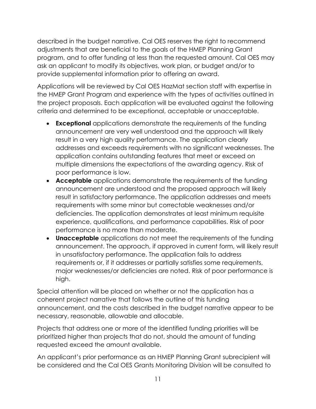described in the budget narrative. Cal OES reserves the right to recommend adjustments that are beneficial to the goals of the HMEP Planning Grant program, and to offer funding at less than the requested amount. Cal OES may ask an applicant to modify its objectives, work plan, or budget and/or to provide supplemental information prior to offering an award.

Applications will be reviewed by Cal OES HazMat section staff with expertise in the HMEP Grant Program and experience with the types of activities outlined in the project proposals. Each application will be evaluated against the following criteria and determined to be exceptional, acceptable or unacceptable.

- **Exceptional** applications demonstrate the requirements of the funding announcement are very well understood and the approach will likely result in a very high quality performance. The application clearly addresses and exceeds requirements with no significant weaknesses. The application contains outstanding features that meet or exceed on multiple dimensions the expectations of the awarding agency. Risk of poor performance is low.
- **Acceptable** applications demonstrate the requirements of the funding announcement are understood and the proposed approach will likely result in satisfactory performance. The application addresses and meets requirements with some minor but correctable weaknesses and/or deficiencies. The application demonstrates at least minimum requisite experience, qualifications, and performance capabilities. Risk of poor performance is no more than moderate.
- **Unacceptable** applications do not meet the requirements of the funding announcement. The approach, if approved in current form, will likely result in unsatisfactory performance. The application fails to address requirements or, if it addresses or partially satisfies some requirements, major weaknesses/or deficiencies are noted. Risk of poor performance is high.

Special attention will be placed on whether or not the application has a coherent project narrative that follows the outline of this funding announcement, and the costs described in the budget narrative appear to be necessary, reasonable, allowable and allocable.

Projects that address one or more of the identified funding priorities will be prioritized higher than projects that do not, should the amount of funding requested exceed the amount available.

An applicant's prior performance as an HMEP Planning Grant subrecipient will be considered and the Cal OES Grants Monitoring Division will be consulted to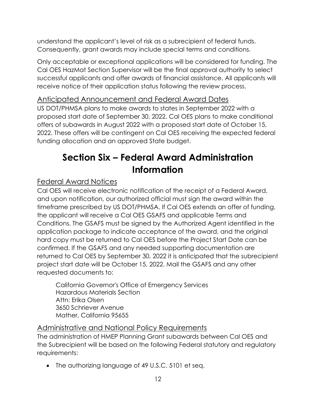understand the applicant's level of risk as a subrecipient of federal funds. Consequently, grant awards may include special terms and conditions.

Only acceptable or exceptional applications will be considered for funding. The Cal OES HazMat Section Supervisor will be the final approval authority to select successful applicants and offer awards of financial assistance. All applicants will receive notice of their application status following the review process.

## <span id="page-12-0"></span>Anticipated Announcement and Federal Award Dates

US DOT/PHMSA plans to make awards to states in September 2022 with a proposed start date of September 30, 2022. Cal OES plans to make conditional offers of subawards in August 2022 with a proposed start date of October 15, 2022. These offers will be contingent on Cal OES receiving the expected federal funding allocation and an approved State budget.

# <span id="page-12-1"></span>**Section Six – Federal Award Administration Information**

## <span id="page-12-2"></span>Federal Award Notices

Cal OES will receive electronic notification of the receipt of a Federal Award, and upon notification, our authorized official must sign the award within the timeframe prescribed by US DOT/PHMSA. If Cal OES extends an offer of funding, the applicant will receive a Cal OES GSAFS and applicable Terms and Conditions. The GSAFS must be signed by the Authorized Agent identified in the application package to indicate acceptance of the award, and the original hard copy must be returned to Cal OES before the Project Start Date can be confirmed. If the GSAFS and any needed supporting documentation are returned to Cal OES by September 30, 2022 it is anticipated that the subrecipient project start date will be October 15, 2022. Mail the GSAFS and any other requested documents to:

California Governor's Office of Emergency Services Hazardous Materials Section Attn: Erika Olsen 3650 Schriever Avenue Mather, California 95655

#### <span id="page-12-3"></span>Administrative and National Policy Requirements

The administration of HMEP Planning Grant subawards between Cal OES and the Subrecipient will be based on the following Federal statutory and regulatory requirements:

• The authorizing language of 49 U.S.C. 5101 et seq.